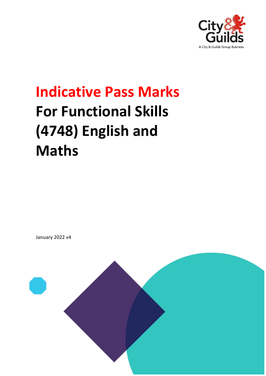

# **Indicative Pass Marks For Functional Skills (4748) English and Maths**

January 2022 v4

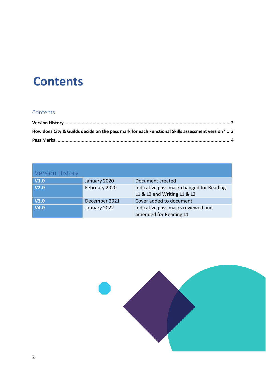## **Contents**

#### **Contents**

| How does City & Guilds decide on the pass mark for each Functional Skills assessment version?  3 |  |
|--------------------------------------------------------------------------------------------------|--|
|                                                                                                  |  |

<span id="page-1-0"></span>

| <b>Version History</b> |               |                                                                         |
|------------------------|---------------|-------------------------------------------------------------------------|
| V1.0                   | January 2020  | Document created                                                        |
| V2.0                   | February 2020 | Indicative pass mark changed for Reading<br>L1 & L2 and Writing L1 & L2 |
| <b>V3.0</b>            | December 2021 | Cover added to document                                                 |
| <b>V4.0</b>            | January 2022  | Indicative pass marks reviewed and<br>amended for Reading L1            |

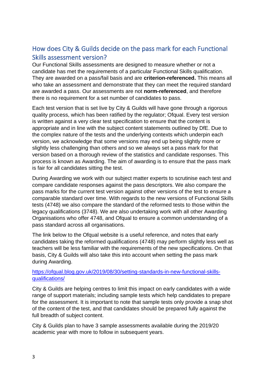### <span id="page-2-0"></span>How does City & Guilds decide on the pass mark for each Functional Skills assessment version?

Our Functional Skills assessments are designed to measure whether or not a candidate has met the requirements of a particular Functional Skills qualification. They are awarded on a pass/fail basis and are **criterion-referenced.** This means all who take an assessment and demonstrate that they can meet the required standard are awarded a pass. Our assessments are not **norm-referenced**, and therefore there is no requirement for a set number of candidates to pass.

Each test version that is set live by City & Guilds will have gone through a rigorous quality process, which has been ratified by the regulator; Ofqual. Every test version is written against a very clear test specification to ensure that the content is appropriate and in line with the subject content statements outlined by DfE. Due to the complex nature of the tests and the underlying contexts which underpin each version, we acknowledge that some versions may end up being slightly more or slightly less challenging than others and so we always set a pass mark for that version based on a thorough review of the statistics and candidate responses. This process is known as Awarding. The aim of awarding is to ensure that the pass mark is fair for all candidates sitting the test.

During Awarding we work with our subject matter experts to scrutinise each test and compare candidate responses against the pass descriptors. We also compare the pass marks for the current test version against other versions of the test to ensure a comparable standard over time. With regards to the new versions of Functional Skills tests (4748) we also compare the standard of the reformed tests to those within the legacy qualifications (3748). We are also undertaking work with all other Awarding Organisations who offer 4748, and Ofqual to ensure a common understanding of a pass standard across all organisations.

The link below to the Ofqual website is a useful reference, and notes that early candidates taking the reformed qualifications (4748) may perform slightly less well as teachers will be less familiar with the requirements of the new specifications. On that basis, City & Guilds will also take this into account when setting the pass mark during Awarding.

#### [https://ofqual.blog.gov.uk/2019/08/30/setting-standards-in-new-functional-skills](https://ofqual.blog.gov.uk/2019/08/30/setting-standards-in-new-functional-skills-qualifications/)[qualifications/](https://ofqual.blog.gov.uk/2019/08/30/setting-standards-in-new-functional-skills-qualifications/)

City & Guilds are helping centres to limit this impact on early candidates with a wide range of support materials; including sample tests which help candidates to prepare for the assessment. It is important to note that sample tests only provide a snap shot of the content of the test, and that candidates should be prepared fully against the full breadth of subject content.

City & Guilds plan to have 3 sample assessments available during the 2019/20 academic year with more to follow in subsequent years.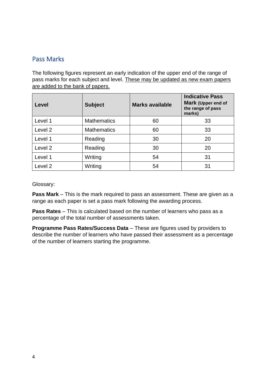#### <span id="page-3-0"></span>Pass Marks

The following figures represent an early indication of the upper end of the range of pass marks for each subject and level. These may be updated as new exam papers are added to the bank of papers.

| Level              | <b>Subject</b>     | <b>Marks available</b> | <b>Indicative Pass</b><br>Mark (Upper end of<br>the range of pass<br>marks) |
|--------------------|--------------------|------------------------|-----------------------------------------------------------------------------|
| Level 1            | <b>Mathematics</b> | 60                     | 33                                                                          |
| Level 2            | <b>Mathematics</b> | 60                     | 33                                                                          |
| Level 1            | Reading            | 30                     | 20                                                                          |
| Level <sub>2</sub> | Reading            | 30                     | 20                                                                          |
| Level 1            | Writing            | 54                     | 31                                                                          |
| Level 2            | Writing            | 54                     | 31                                                                          |

Glossary:

**Pass Mark** – This is the mark required to pass an assessment. These are given as a range as each paper is set a pass mark following the awarding process.

**Pass Rates** – This is calculated based on the number of learners who pass as a percentage of the total number of assessments taken.

**Programme Pass Rates/Success Data** – These are figures used by providers to describe the number of learners who have passed their assessment as a percentage of the number of learners starting the programme.